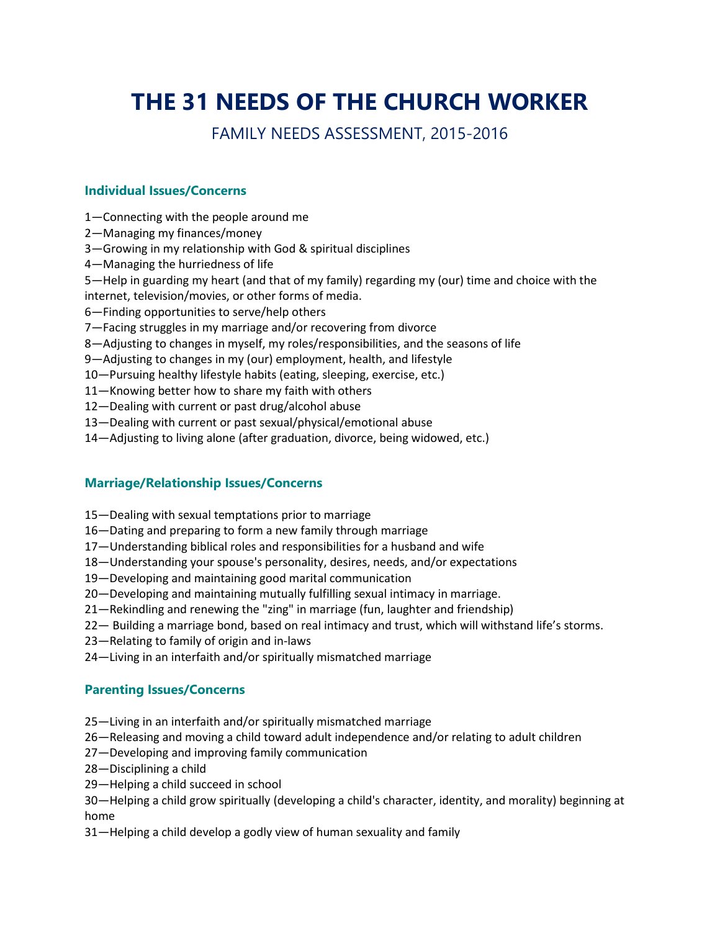# **THE 31 NEEDS OF THE CHURCH WORKER**

### FAMILY NEEDS ASSESSMENT, 2015-2016

#### **Individual Issues/Concerns**

- 1—Connecting with the people around me
- 2—Managing my finances/money
- 3—Growing in my relationship with God & spiritual disciplines
- 4—Managing the hurriedness of life
- 5—Help in guarding my heart (and that of my family) regarding my (our) time and choice with the internet, television/movies, or other forms of media.
- 6—Finding opportunities to serve/help others
- 7—Facing struggles in my marriage and/or recovering from divorce
- 8—Adjusting to changes in myself, my roles/responsibilities, and the seasons of life
- 9—Adjusting to changes in my (our) employment, health, and lifestyle
- 10—Pursuing healthy lifestyle habits (eating, sleeping, exercise, etc.)
- 11—Knowing better how to share my faith with others
- 12—Dealing with current or past drug/alcohol abuse
- 13—Dealing with current or past sexual/physical/emotional abuse
- 14—Adjusting to living alone (after graduation, divorce, being widowed, etc.)

#### **Marriage/Relationship Issues/Concerns**

- 15—Dealing with sexual temptations prior to marriage
- 16—Dating and preparing to form a new family through marriage
- 17—Understanding biblical roles and responsibilities for a husband and wife
- 18—Understanding your spouse's personality, desires, needs, and/or expectations
- 19—Developing and maintaining good marital communication
- 20—Developing and maintaining mutually fulfilling sexual intimacy in marriage.
- 21—Rekindling and renewing the "zing" in marriage (fun, laughter and friendship)
- 22— Building a marriage bond, based on real intimacy and trust, which will withstand life's storms.
- 23—Relating to family of origin and in-laws
- 24—Living in an interfaith and/or spiritually mismatched marriage

#### **Parenting Issues/Concerns**

- 25—Living in an interfaith and/or spiritually mismatched marriage
- 26—Releasing and moving a child toward adult independence and/or relating to adult children
- 27—Developing and improving family communication
- 28—Disciplining a child
- 29—Helping a child succeed in school

30—Helping a child grow spiritually (developing a child's character, identity, and morality) beginning at home

31—Helping a child develop a godly view of human sexuality and family